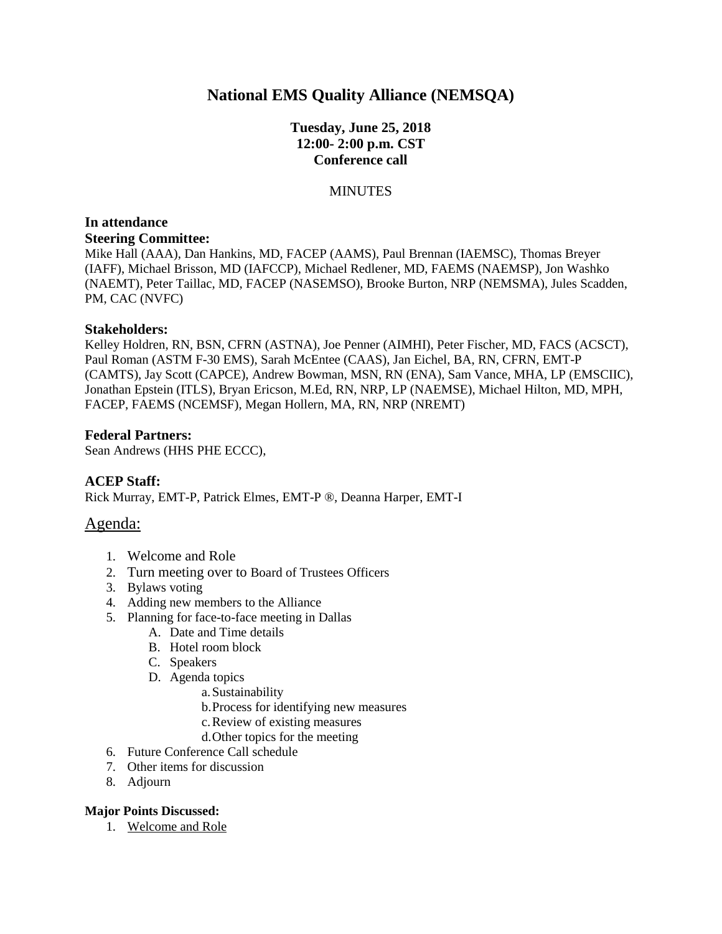## **National EMS Quality Alliance (NEMSQA)**

## **Tuesday, June 25, 2018 12:00- 2:00 p.m. CST Conference call**

#### **MINUTES**

# **In attendance**

**Steering Committee:**

Mike Hall (AAA), Dan Hankins, MD, FACEP (AAMS), Paul Brennan (IAEMSC), Thomas Breyer (IAFF), Michael Brisson, MD (IAFCCP), Michael Redlener, MD, FAEMS (NAEMSP), Jon Washko (NAEMT), Peter Taillac, MD, FACEP (NASEMSO), Brooke Burton, NRP (NEMSMA), Jules Scadden, PM, CAC (NVFC)

#### **Stakeholders:**

Kelley Holdren, RN, BSN, CFRN (ASTNA), Joe Penner (AIMHI), Peter Fischer, MD, FACS (ACSCT), Paul Roman (ASTM F-30 EMS), Sarah McEntee (CAAS), Jan Eichel, BA, RN, CFRN, EMT-P (CAMTS), Jay Scott (CAPCE), Andrew Bowman, MSN, RN (ENA), Sam Vance, MHA, LP (EMSCIIC), Jonathan Epstein (ITLS), Bryan Ericson, M.Ed, RN, NRP, LP (NAEMSE), Michael Hilton, MD, MPH, FACEP, FAEMS (NCEMSF), Megan Hollern, MA, RN, NRP (NREMT)

#### **Federal Partners:**

Sean Andrews (HHS PHE ECCC),

#### **ACEP Staff:**

Rick Murray, EMT-P, Patrick Elmes, EMT-P ®, Deanna Harper, EMT-I

## Agenda:

- 1. Welcome and Role
- 2. Turn meeting over to Board of Trustees Officers
- 3. Bylaws voting
- 4. Adding new members to the Alliance
- 5. Planning for face-to-face meeting in Dallas
	- A. Date and Time details
	- B. Hotel room block
	- C. Speakers
	- D. Agenda topics
		- a.Sustainability
		- b.Process for identifying new measures
		- c.Review of existing measures
		- d.Other topics for the meeting
- 6. Future Conference Call schedule
- 7. Other items for discussion
- 8. Adjourn

#### **Major Points Discussed:**

1. Welcome and Role